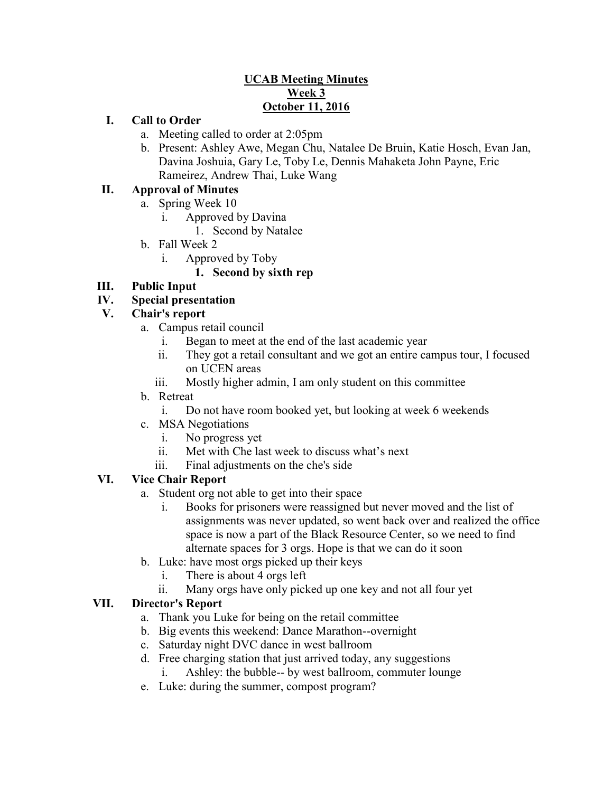## **UCAB Meeting Minutes Week 3 October 11, 2016**

#### **I. Call to Order**

- a. Meeting called to order at 2:05pm
- b. Present: Ashley Awe, Megan Chu, Natalee De Bruin, Katie Hosch, Evan Jan, Davina Joshuia, Gary Le, Toby Le, Dennis Mahaketa John Payne, Eric Rameirez, Andrew Thai, Luke Wang

# **II. Approval of Minutes**

- a. Spring Week 10
	- i. Approved by Davina
		- 1. Second by Natalee
- b. Fall Week 2
	- i. Approved by Toby
		- **1. Second by sixth rep**

# **III. Public Input**

## **IV. Special presentation**

## **V. Chair's report**

- a. Campus retail council
	- i. Began to meet at the end of the last academic year
	- ii. They got a retail consultant and we got an entire campus tour, I focused on UCEN areas
	- iii. Mostly higher admin, I am only student on this committee
- b. Retreat
	- i. Do not have room booked yet, but looking at week 6 weekends
- c. MSA Negotiations
	- i. No progress yet
	- ii. Met with Che last week to discuss what's next
	- iii. Final adjustments on the che's side

# **VI. Vice Chair Report**

- a. Student org not able to get into their space
	- i. Books for prisoners were reassigned but never moved and the list of assignments was never updated, so went back over and realized the office space is now a part of the Black Resource Center, so we need to find alternate spaces for 3 orgs. Hope is that we can do it soon
- b. Luke: have most orgs picked up their keys
	- i. There is about 4 orgs left
	- ii. Many orgs have only picked up one key and not all four yet

#### **VII. Director's Report**

- a. Thank you Luke for being on the retail committee
- b. Big events this weekend: Dance Marathon--overnight
- c. Saturday night DVC dance in west ballroom
- d. Free charging station that just arrived today, any suggestions
	- i. Ashley: the bubble-- by west ballroom, commuter lounge
- e. Luke: during the summer, compost program?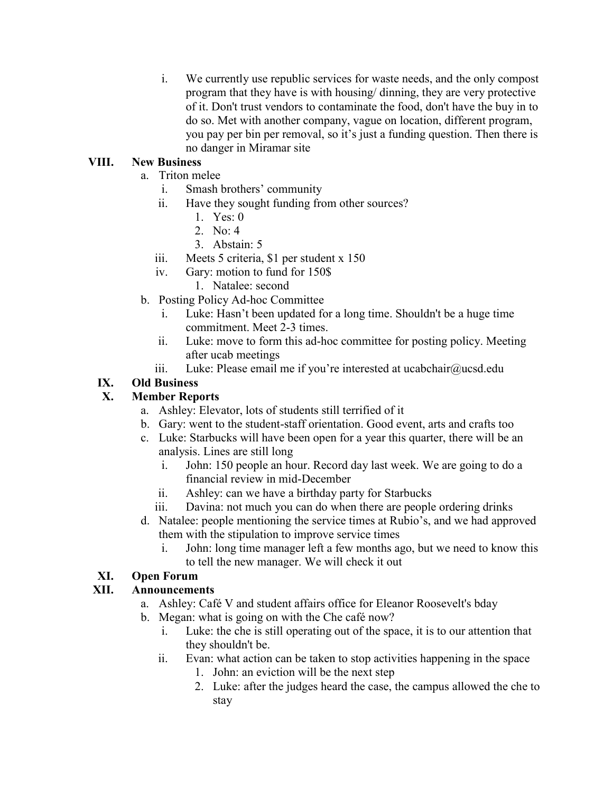i. We currently use republic services for waste needs, and the only compost program that they have is with housing/ dinning, they are very protective of it. Don't trust vendors to contaminate the food, don't have the buy in to do so. Met with another company, vague on location, different program, you pay per bin per removal, so it's just a funding question. Then there is no danger in Miramar site

## **VIII. New Business**

- a. Triton melee
	- i. Smash brothers' community
	- ii. Have they sought funding from other sources?
		- 1. Yes:  $0$
		- 2. No:  $4$
		- 3. Abstain: 5
	- iii. Meets 5 criteria, \$1 per student x 150
	- iv. Gary: motion to fund for 150\$
		- 1. Natalee: second
- b. Posting Policy Ad-hoc Committee
	- i. Luke: Hasn't been updated for a long time. Shouldn't be a huge time commitment. Meet 2-3 times.
	- ii. Luke: move to form this ad-hoc committee for posting policy. Meeting after ucab meetings
	- iii. Luke: Please email me if you're interested at ucabchair@ucsd.edu

# **IX. Old Business**

# **X. Member Reports**

- a. Ashley: Elevator, lots of students still terrified of it
- b. Gary: went to the student-staff orientation. Good event, arts and crafts too
- c. Luke: Starbucks will have been open for a year this quarter, there will be an analysis. Lines are still long
	- i. John: 150 people an hour. Record day last week. We are going to do a financial review in mid-December
	- ii. Ashley: can we have a birthday party for Starbucks
	- iii. Davina: not much you can do when there are people ordering drinks
- d. Natalee: people mentioning the service times at Rubio's, and we had approved them with the stipulation to improve service times
	- i. John: long time manager left a few months ago, but we need to know this to tell the new manager. We will check it out

# **XI. Open Forum**

#### **XII. Announcements**

- a. Ashley: Café V and student affairs office for Eleanor Roosevelt's bday
- b. Megan: what is going on with the Che café now?
	- i. Luke: the che is still operating out of the space, it is to our attention that they shouldn't be.
	- ii. Evan: what action can be taken to stop activities happening in the space
		- 1. John: an eviction will be the next step
		- 2. Luke: after the judges heard the case, the campus allowed the che to stay